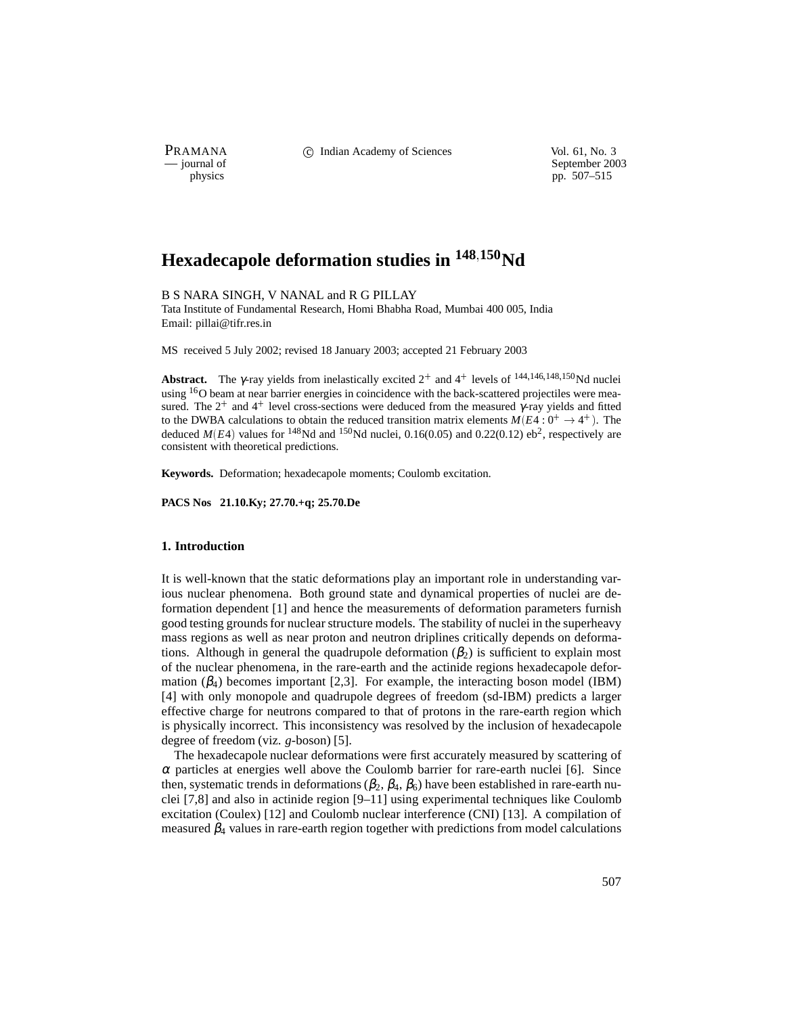PRAMANA C Indian Academy of Sciences Vol. 61, No. 3<br>
— journal of September 200

purnal of September 2003<br>
physics properties and the september 2003<br>
pp. 507–515 pp. 507–515

# **Hexadecapole deformation studies in <sup>148</sup>150Nd**

B S NARA SINGH, V NANAL and R G PILLAY

Tata Institute of Fundamental Research, Homi Bhabha Road, Mumbai 400 005, India Email: pillai@tifr.res.in

MS received 5 July 2002; revised 18 January 2003; accepted 21 February 2003

**Abstract.** The  $\gamma$ -ray yields from inelastically excited  $2^+$  and  $4^+$  levels of  $144,146,148,150$  Nd nuclei using <sup>16</sup>O beam at near barrier energies in coincidence with the back-scattered projectiles were measured. The  $2^+$  and  $4^+$  level cross-sections were deduced from the measured  $\gamma$ -ray yields and fitted to the DWBA calculations to obtain the reduced transition matrix elements  $M(E4:0^{+} \rightarrow 4^{+})$ . The deduced  $M(E4)$  values for <sup>148</sup>Nd and <sup>150</sup>Nd nuclei, 0.16(0.05) and 0.22(0.12) eb<sup>2</sup>, respectively are consistent with theoretical predictions.

**Keywords.** Deformation; hexadecapole moments; Coulomb excitation.

**PACS Nos 21.10.Ky; 27.70.+q; 25.70.De**

## **1. Introduction**

It is well-known that the static deformations play an important role in understanding various nuclear phenomena. Both ground state and dynamical properties of nuclei are deformation dependent [1] and hence the measurements of deformation parameters furnish good testing grounds for nuclear structure models. The stability of nuclei in the superheavy mass regions as well as near proton and neutron driplines critically depends on deformations. Although in general the quadrupole deformation  $(\beta_2)$  is sufficient to explain most of the nuclear phenomena, in the rare-earth and the actinide regions hexadecapole deformation  $(\beta_4)$  becomes important [2,3]. For example, the interacting boson model (IBM) [4] with only monopole and quadrupole degrees of freedom (sd-IBM) predicts a larger effective charge for neutrons compared to that of protons in the rare-earth region which is physically incorrect. This inconsistency was resolved by the inclusion of hexadecapole degree of freedom (viz. *g*-boson) [5].

The hexadecapole nuclear deformations were first accurately measured by scattering of  $\alpha$  particles at energies well above the Coulomb barrier for rare-earth nuclei [6]. Since then, systematic trends in deformations  $(\beta_2, \beta_4, \beta_6)$  have been established in rare-earth nuclei [7,8] and also in actinide region [9–11] using experimental techniques like Coulomb excitation (Coulex) [12] and Coulomb nuclear interference (CNI) [13]. A compilation of measured  $\beta_4$  values in rare-earth region together with predictions from model calculations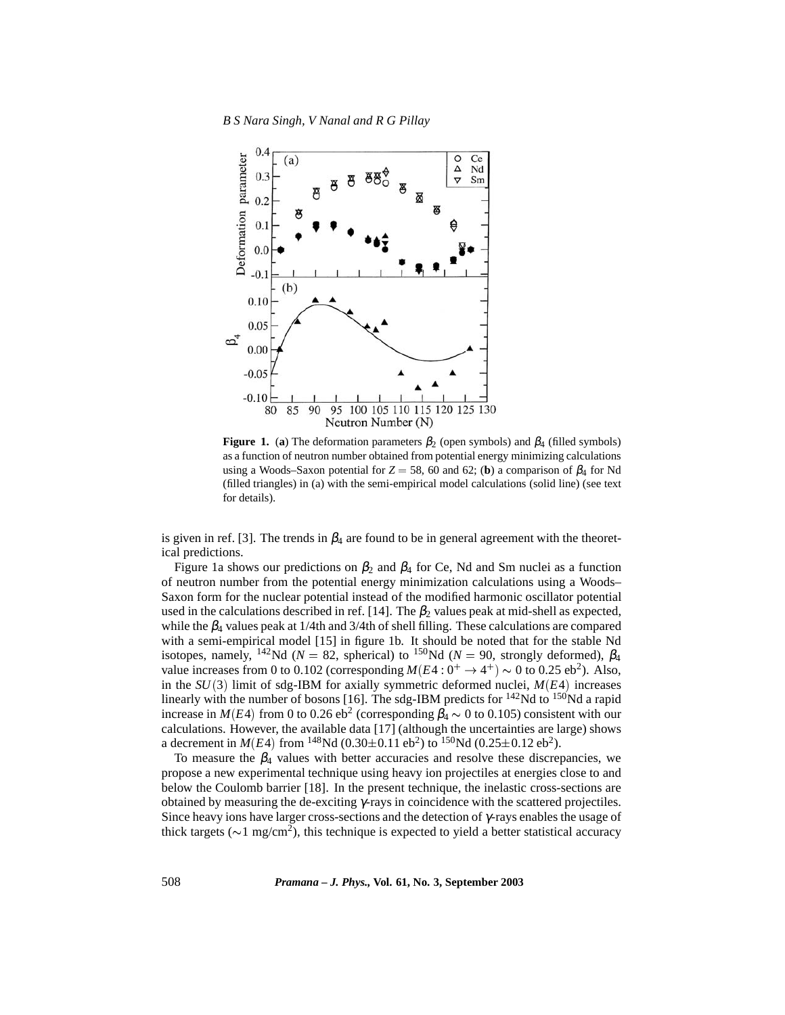

**Figure 1.** (a) The deformation parameters  $\beta_2$  (open symbols) and  $\beta_4$  (filled symbols) as a function of neutron number obtained from potential energy minimizing calculations using a Woods–Saxon potential for  $Z = 58$ , 60 and 62; (**b**) a comparison of  $\beta_4$  for Nd (filled triangles) in (a) with the semi-empirical model calculations (solid line) (see text for details).

is given in ref. [3]. The trends in  $\beta_4$  are found to be in general agreement with the theoretical predictions.

Figure 1a shows our predictions on  $\beta_2$  and  $\beta_4$  for Ce, Nd and Sm nuclei as a function of neutron number from the potential energy minimization calculations using a Woods– Saxon form for the nuclear potential instead of the modified harmonic oscillator potential used in the calculations described in ref. [14]. The  $\beta_2$  values peak at mid-shell as expected, while the  $\beta_4$  values peak at 1/4th and 3/4th of shell filling. These calculations are compared with a semi-empirical model [15] in figure 1b. It should be noted that for the stable Nd isotopes, namely, <sup>142</sup>Nd ( $N = 82$ , spherical) to <sup>150</sup>Nd ( $N = 90$ , strongly deformed),  $\beta_4$ value increases from 0 to 0.102 (corresponding  $M(E4:0^+ \rightarrow 4^+) \sim 0$  to 0.25 eb<sup>2</sup>). Also, in the  $SU(3)$  limit of sdg-IBM for axially symmetric deformed nuclei,  $M(E4)$  increases linearly with the number of bosons [16]. The sdg-IBM predicts for  $^{142}$ Nd to  $^{150}$ Nd a rapid increase in *M*(*E*4) from 0 to 0.26 eb<sup>2</sup> (corresponding  $\beta_4 \sim 0$  to 0.105) consistent with our calculations. However, the available data [17] (although the uncertainties are large) shows a decrement in  $M(E4)$  from <sup>148</sup>Nd (0.30 $\pm$ 0.11 eb<sup>2</sup>) to <sup>150</sup>Nd (0.25 $\pm$ 0.12 eb<sup>2</sup>).

To measure the  $\beta_4$  values with better accuracies and resolve these discrepancies, we propose a new experimental technique using heavy ion projectiles at energies close to and below the Coulomb barrier [18]. In the present technique, the inelastic cross-sections are obtained by measuring the de-exciting γ-rays in coincidence with the scattered projectiles. Since heavy ions have larger cross-sections and the detection of γ-rays enables the usage of thick targets ( $\sim$ 1 mg/cm<sup>2</sup>), this technique is expected to yield a better statistical accuracy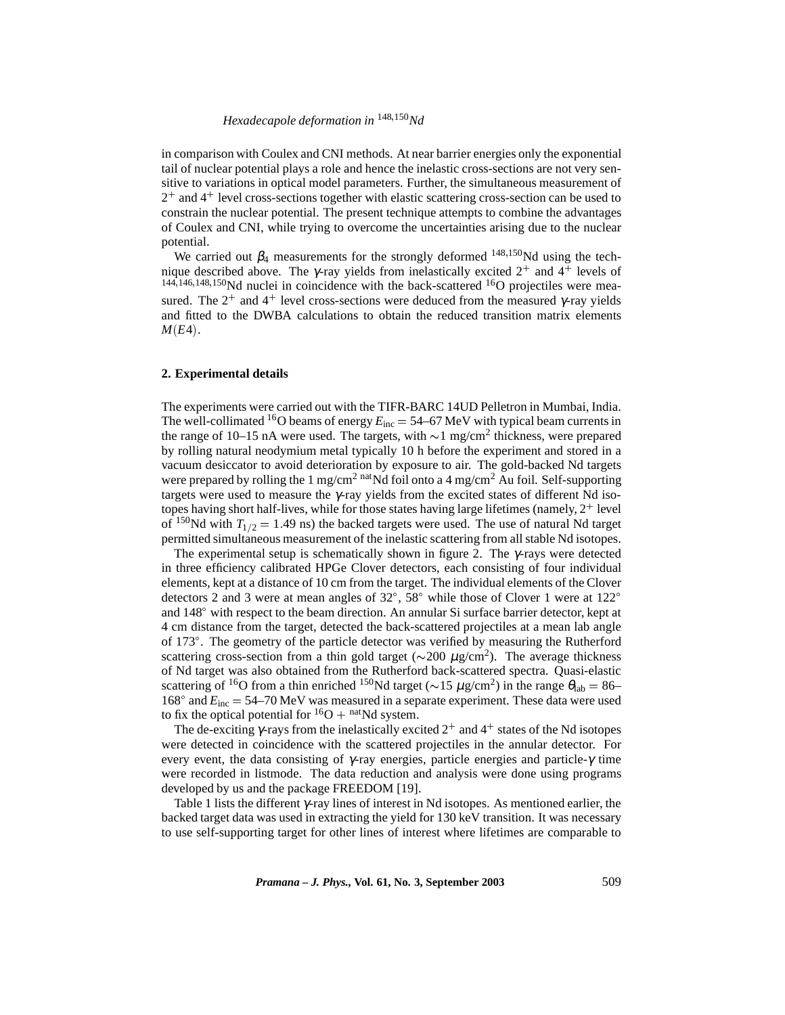# *Hexadecapole deformation in* <sup>148</sup>150*Nd*

in comparison with Coulex and CNI methods. At near barrier energies only the exponential tail of nuclear potential plays a role and hence the inelastic cross-sections are not very sensitive to variations in optical model parameters. Further, the simultaneous measurement of 2 and 4 level cross-sections together with elastic scattering cross-section can be used to constrain the nuclear potential. The present technique attempts to combine the advantages of Coulex and CNI, while trying to overcome the uncertainties arising due to the nuclear potential.

We carried out  $\beta_4$  measurements for the strongly deformed  $^{148,150}$ Nd using the technique described above. The γ-ray yields from inelastically excited  $2^+$  and  $4^+$  levels of  $144,146,148,150$ Nd nuclei in coincidence with the back-scattered  $16$ O projectiles were measured. The  $2^+$  and  $4^+$  level cross-sections were deduced from the measured  $\gamma$ -ray yields and fitted to the DWBA calculations to obtain the reduced transition matrix elements  $M(E4)$ .

## **2. Experimental details**

The experiments were carried out with the TIFR-BARC 14UD Pelletron in Mumbai, India. The well-collimated <sup>16</sup>O beams of energy  $E_{inc} = 54–67$  MeV with typical beam currents in the range of 10–15 nA were used. The targets, with  $\sim$  1 mg/cm<sup>2</sup> thickness, were prepared by rolling natural neodymium metal typically 10 h before the experiment and stored in a vacuum desiccator to avoid deterioration by exposure to air. The gold-backed Nd targets were prepared by rolling the 1 mg/cm<sup>2</sup> natNd foil onto a 4 mg/cm<sup>2</sup> Au foil. Self-supporting targets were used to measure the γ-ray yields from the excited states of different Nd isotopes having short half-lives, while for those states having large lifetimes (namely,  $2^+$  level of <sup>150</sup>Nd with  $T_{1/2} = 1.49$  ns) the backed targets were used. The use of natural Nd target permitted simultaneous measurement of the inelastic scattering from all stable Nd isotopes.

The experimental setup is schematically shown in figure 2. The  $\gamma$ -rays were detected in three efficiency calibrated HPGe Clover detectors, each consisting of four individual elements, kept at a distance of 10 cm from the target. The individual elements of the Clover detectors 2 and 3 were at mean angles of  $32^{\circ}$ ,  $58^{\circ}$  while those of Clover 1 were at  $122^{\circ}$ and  $148^\circ$  with respect to the beam direction. An annular Si surface barrier detector, kept at 4 cm distance from the target, detected the back-scattered projectiles at a mean lab angle of 173°. The geometry of the particle detector was verified by measuring the Rutherford scattering cross-section from a thin gold target ( $\sim$ 200  $\mu$ g/cm<sup>2</sup>). The average thickness of Nd target was also obtained from the Rutherford back-scattered spectra. Quasi-elastic scattering of <sup>16</sup>O from a thin enriched <sup>150</sup>Nd target ( $\sim$ 15  $\mu$ g/cm<sup>2</sup>) in the range  $\theta_{\rm lab} = 86-$ 168 $^{\circ}$  and  $E_{inc} = 54-70$  MeV was measured in a separate experiment. These data were used to fix the optical potential for  ${}^{16}O + {}^{nat}Nd$  system.

The de-exciting  $\gamma$ -rays from the inelastically excited  $2^+$  and  $4^+$  states of the Nd isotopes were detected in coincidence with the scattered projectiles in the annular detector. For every event, the data consisting of  $\gamma$ -ray energies, particle energies and particle- $\gamma$  time were recorded in listmode. The data reduction and analysis were done using programs developed by us and the package FREEDOM [19].

Table 1 lists the different  $\gamma$ -ray lines of interest in Nd isotopes. As mentioned earlier, the backed target data was used in extracting the yield for 130 keV transition. It was necessary to use self-supporting target for other lines of interest where lifetimes are comparable to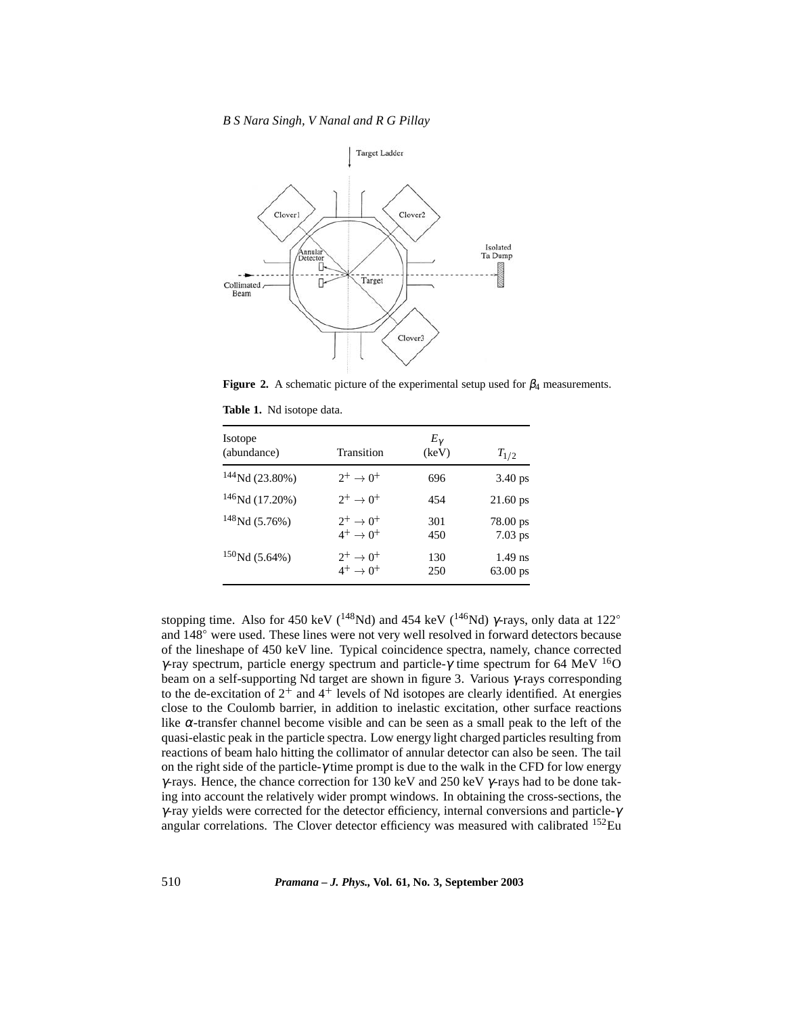*B S Nara Singh, V Nanal and R G Pillay*



**Figure 2.** A schematic picture of the experimental setup used for  $\beta_4$  measurements.

|  |  |  | Table 1. Nd isotope data. |  |
|--|--|--|---------------------------|--|
|--|--|--|---------------------------|--|

| <b>Isotope</b><br>(abundance) | Transition                                     | $E_{\gamma}$<br>(keV) | $T_{1/2}$               |
|-------------------------------|------------------------------------------------|-----------------------|-------------------------|
| $144$ Nd (23.80%)             | $2^+ \rightarrow 0^+$                          | 696                   | $3.40 \text{ ps}$       |
| $146$ Nd (17.20%)             | $2^+ \rightarrow 0^+$                          | 454                   | $21.60$ ps              |
| $148$ Nd (5.76%)              | $2^+ \rightarrow 0^+$<br>$4^+ \rightarrow 0^+$ | 301<br>450            | $78.00$ ps<br>$7.03$ ps |
| $150$ Nd (5.64%)              | $2^+ \to 0^+$<br>$4^+ \rightarrow 0^+$         | 130<br>250            | $1.49$ ns<br>63.00 ps   |

stopping time. Also for 450 keV ( $^{148}$ Nd) and 454 keV ( $^{146}$ Nd) γ-rays, only data at 122<sup>o</sup> and  $148^\circ$  were used. These lines were not very well resolved in forward detectors because of the lineshape of 450 keV line. Typical coincidence spectra, namely, chance corrected γ-ray spectrum, particle energy spectrum and particle-γ time spectrum for 64 MeV <sup>16</sup>O beam on a self-supporting Nd target are shown in figure 3. Various γ-rays corresponding to the de-excitation of  $2^+$  and  $4^+$  levels of Nd isotopes are clearly identified. At energies close to the Coulomb barrier, in addition to inelastic excitation, other surface reactions like  $\alpha$ -transfer channel become visible and can be seen as a small peak to the left of the quasi-elastic peak in the particle spectra. Low energy light charged particles resulting from reactions of beam halo hitting the collimator of annular detector can also be seen. The tail on the right side of the particle- $\gamma$  time prompt is due to the walk in the CFD for low energy  $γ$ -rays. Hence, the chance correction for 130 keV and 250 keV  $γ$ -rays had to be done taking into account the relatively wider prompt windows. In obtaining the cross-sections, the γ-ray yields were corrected for the detector efficiency, internal conversions and particle-γ angular correlations. The Clover detector efficiency was measured with calibrated  $^{152}$ Eu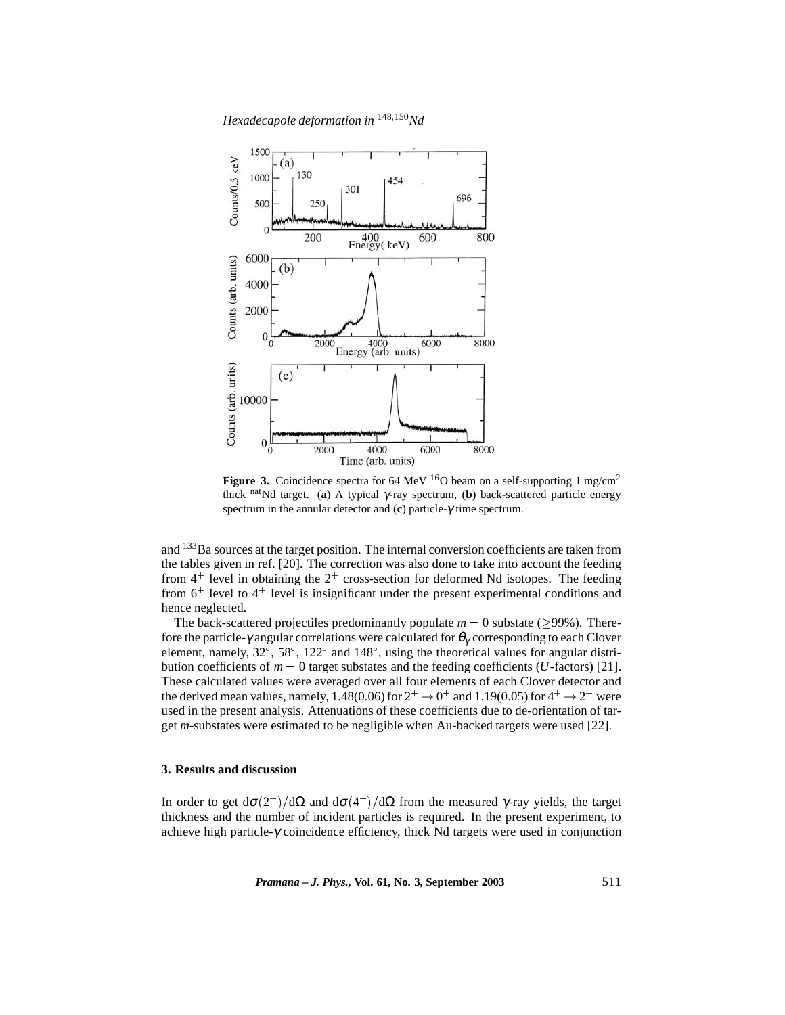*Hexadecapole deformation in* <sup>148</sup>150*Nd*



**Figure 3.** Coincidence spectra for 64 MeV  $^{16}$ O beam on a self-supporting 1 mg/cm<sup>2</sup> thick natNd target. (**a**) A typical <sup>γ</sup>-ray spectrum, (**b**) back-scattered particle energy spectrum in the annular detector and (**c**) particle-γ time spectrum.

and <sup>133</sup>Ba sources at the target position. The internal conversion coefficients are taken from the tables given in ref. [20]. The correction was also done to take into account the feeding from  $4^+$  level in obtaining the  $2^+$  cross-section for deformed Nd isotopes. The feeding from 6<sup>+</sup> level to 4<sup>+</sup> level is insignificant under the present experimental conditions and hence neglected.

The back-scattered projectiles predominantly populate  $m = 0$  substate ( $>99\%$ ). Therefore the particle- $\gamma$  angular correlations were calculated for  $\theta_{\gamma}$  corresponding to each Clover element, namely,  $32^{\circ}$ ,  $58^{\circ}$ ,  $122^{\circ}$  and  $148^{\circ}$ , using the theoretical values for angular distribution coefficients of  $m = 0$  target substates and the feeding coefficients (*U*-factors) [21]. These calculated values were averaged over all four elements of each Clover detector and the derived mean values, namely, 1.48(0.06) for  $2^+ \rightarrow 0^+$  and 1.19(0.05) for  $4^+ \rightarrow 2^+$  were used in the present analysis. Attenuations of these coefficients due to de-orientation of target *m*-substates were estimated to be negligible when Au-backed targets were used [22].

#### **3. Results and discussion**

In order to get  $d\sigma(2^+)/d\Omega$  and  $d\sigma(4^+)/d\Omega$  from the measured  $\gamma$ -ray yields, the target thickness and the number of incident particles is required. In the present experiment, to achieve high particle- $\gamma$  coincidence efficiency, thick Nd targets were used in conjunction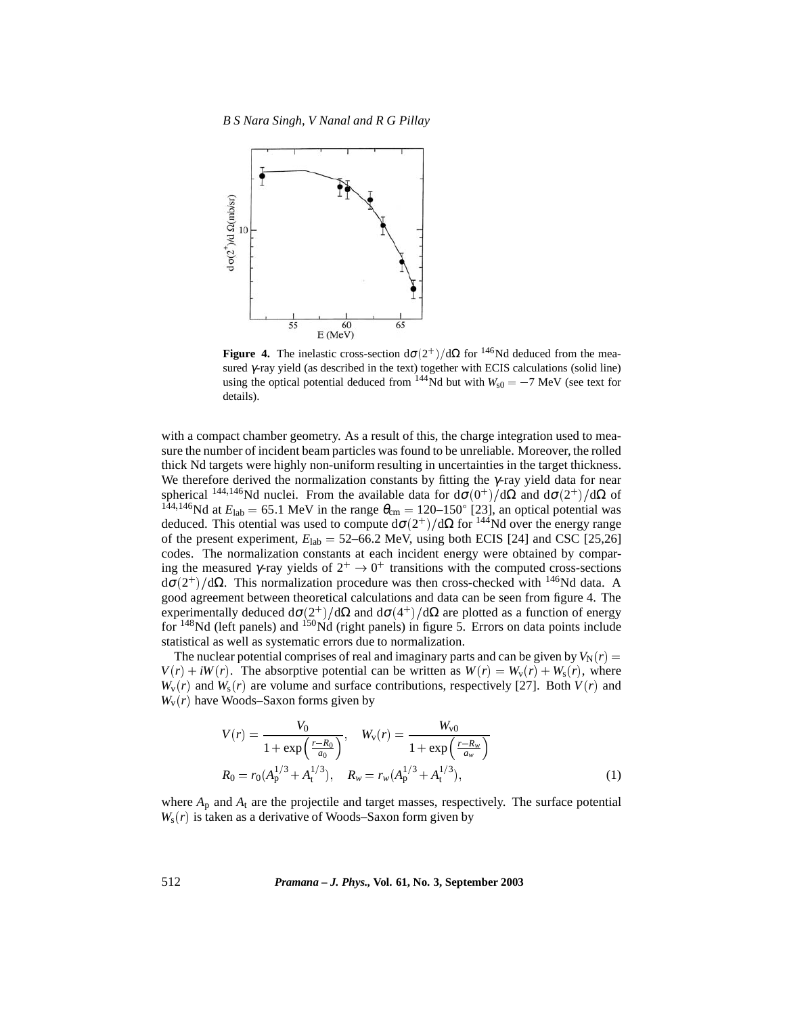

**Figure 4.** The inelastic cross-section  $d\sigma(2^+)/d\Omega$  for <sup>146</sup>Nd deduced from the measured γ-ray yield (as described in the text) together with ECIS calculations (solid line) using the optical potential deduced from  $144$ Nd but with  $W_{s0} = -7$  MeV (see text for details).

with a compact chamber geometry. As a result of this, the charge integration used to measure the number of incident beam particles was found to be unreliable. Moreover, the rolled thick Nd targets were highly non-uniform resulting in uncertainties in the target thickness. We therefore derived the normalization constants by fitting the  $\gamma$ -ray yield data for near spherical <sup>144,146</sup>Nd nuclei. From the available data for  $d\sigma(0^+)/d\Omega$  and  $d\sigma(2^+)/d\Omega$  of <sup>144,146</sup>Nd at  $E_{\text{lab}} = 65.1 \text{ MeV}$  in the range  $\theta_{\text{cm}} = 120{\text -}150^{\circ}$  [23], an optical potential was deduced. This otential was used to compute  $d\sigma(2^+)/d\Omega$  for <sup>144</sup>Nd over the energy range of the present experiment,  $E_{\text{lab}} = 52{\text -}66.2$  MeV, using both ECIS [24] and CSC [25,26] codes. The normalization constants at each incident energy were obtained by comparing the measured  $\gamma$ -ray yields of  $2^+ \rightarrow 0^+$  transitions with the computed cross-sections  $d\sigma(2^+)/d\Omega$ . This normalization procedure was then cross-checked with <sup>146</sup>Nd data. A good agreement between theoretical calculations and data can be seen from figure 4. The experimentally deduced  $d\sigma(2^+)/d\Omega$  and  $d\sigma(4^+)/d\Omega$  are plotted as a function of energy for  $148$ Nd (left panels) and  $150$ Nd (right panels) in figure 5. Errors on data points include statistical as well as systematic errors due to normalization.

The nuclear potential comprises of real and imaginary parts and can be given by  $V_N(r) =$  $V(r) + iW(r)$ . The absorptive potential can be written as  $W(r) = W_v(r) + W_s(r)$ , where  $W_v(r)$  and  $W_s(r)$  are volume and surface contributions, respectively [27]. Both  $V(r)$  and  $W_{\rm v}(r)$  have Woods–Saxon forms given by

$$
V(r) = \frac{V_0}{1 + \exp\left(\frac{r - R_0}{a_0}\right)}, \quad W_{\rm v}(r) = \frac{W_{\rm v0}}{1 + \exp\left(\frac{r - R_{\rm w}}{a_{\rm w}}\right)}
$$

$$
R_0 = r_0 (A_{\rm p}^{1/3} + A_{\rm t}^{1/3}), \quad R_{\rm w} = r_{\rm w} (A_{\rm p}^{1/3} + A_{\rm t}^{1/3}), \tag{1}
$$

where  $A_p$  and  $A_t$  are the projectile and target masses, respectively. The surface potential  $W_s(r)$  is taken as a derivative of Woods–Saxon form given by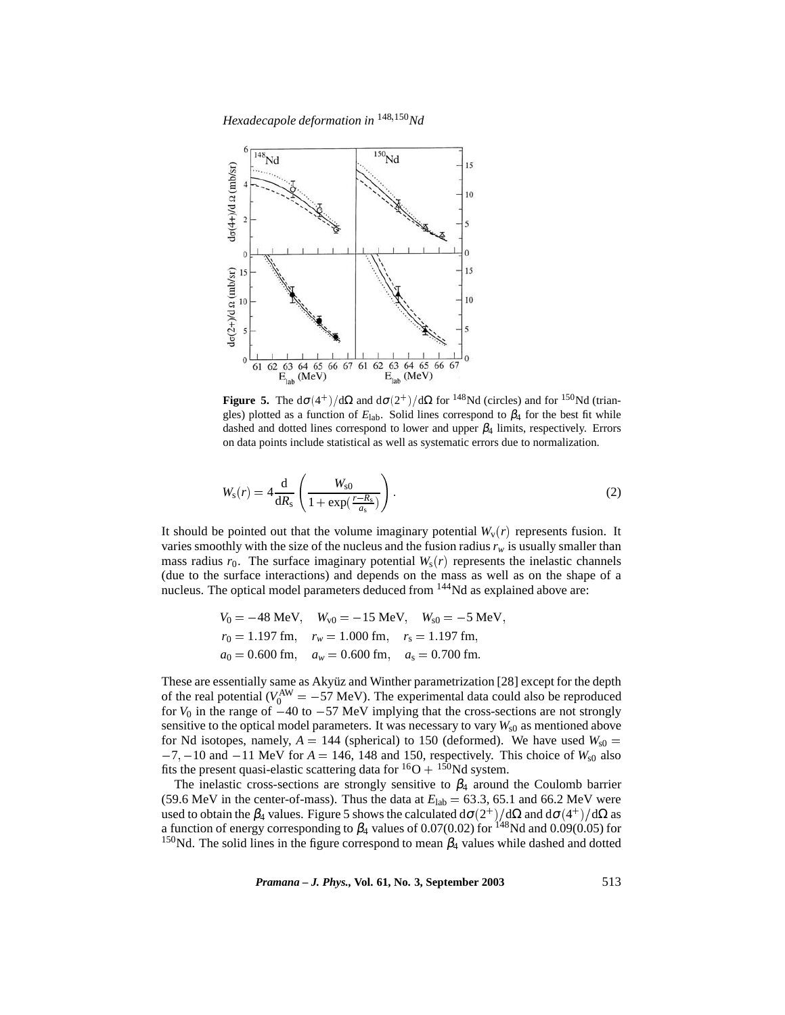*Hexadecapole deformation in* <sup>148</sup>150*Nd*



**Figure 5.** The  $d\sigma(4^+)/d\Omega$  and  $d\sigma(2^+)/d\Omega$  for <sup>148</sup>Nd (circles) and for <sup>150</sup>Nd (triangles) plotted as a function of  $E_{\text{lab}}$ . Solid lines correspond to  $\beta_4$  for the best fit while dashed and dotted lines correspond to lower and upper  $\beta_4$  limits, respectively. Errors on data points include statistical as well as systematic errors due to normalization.

$$
W_{\rm s}(r) = 4 \frac{\rm d}{\rm dR}_{\rm s} \left( \frac{W_{\rm s0}}{1 + \exp(\frac{r - R_{\rm s}}{a_{\rm s}})} \right). \tag{2}
$$

It should be pointed out that the volume imaginary potential  $W_v(r)$  represents fusion. It varies smoothly with the size of the nucleus and the fusion radius  $r_w$  is usually smaller than mass radius  $r_0$ . The surface imaginary potential  $W_s(r)$  represents the inelastic channels (due to the surface interactions) and depends on the mass as well as on the shape of a nucleus. The optical model parameters deduced from <sup>144</sup>Nd as explained above are:

$$
V_0 = -48 \text{ MeV}, \quad W_{\rm v0} = -15 \text{ MeV}, \quad W_{\rm s0} = -5 \text{ MeV},
$$
  
\n
$$
r_0 = 1.197 \text{ fm}, \quad r_w = 1.000 \text{ fm}, \quad r_s = 1.197 \text{ fm},
$$
  
\n
$$
a_0 = 0.600 \text{ fm}, \quad a_w = 0.600 \text{ fm}, \quad a_s = 0.700 \text{ fm}.
$$

These are essentially same as Akyüz and Winther parametrization [28] except for the depth of the real potential ( $V_0^{\text{AW}} = -57 \text{ MeV}$ ). The experimental data could also be reproduced for  $V_0$  in the range of  $-40$  to  $-57$  MeV implying that the cross-sections are not strongly sensitive to the optical model parameters. It was necessary to vary  $W_{s0}$  as mentioned above for Nd isotopes, namely,  $A = 144$  (spherical) to 150 (deformed). We have used  $W_{s0} =$  $-7, -10$  and  $-11$  MeV for  $A = 146$ , 148 and 150, respectively. This choice of  $W_{s0}$  also fits the present quasi-elastic scattering data for  ${}^{16}O + {}^{150}Nd$  system.

The inelastic cross-sections are strongly sensitive to  $\beta_4$  around the Coulomb barrier (59.6 MeV in the center-of-mass). Thus the data at  $E_{\text{lab}} = 63.3, 65.1$  and 66.2 MeV were used to obtain the  $\beta_4$  values. Figure 5 shows the calculated d $\sigma(2^+)/{\rm d}\Omega$  and d $\sigma(4^+)/{\rm d}\Omega$  as a function of energy corresponding to  $\beta_4$  values of 0.07(0.02) for <sup>148</sup>Nd and 0.09(0.05) for <sup>150</sup>Nd. The solid lines in the figure correspond to mean  $\beta_4$  values while dashed and dotted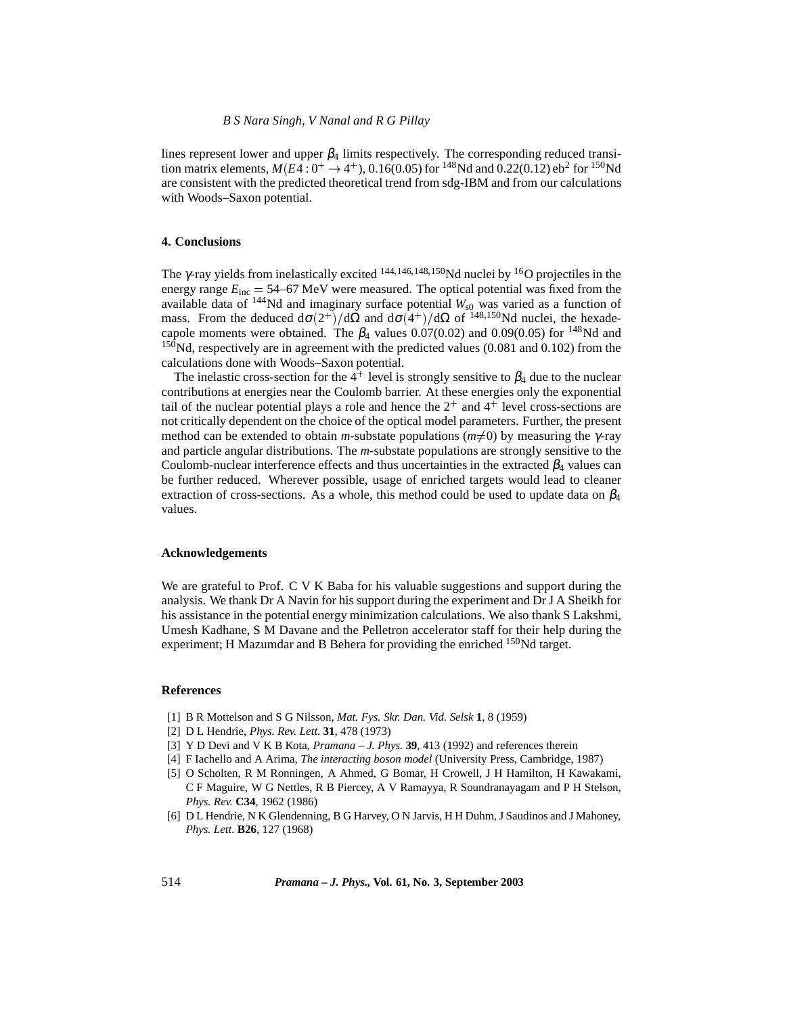lines represent lower and upper  $\beta_4$  limits respectively. The corresponding reduced transition matrix elements,  $M(E4:0^{+} \rightarrow 4^{+})$ , 0.16(0.05) for <sup>148</sup>Nd and 0.22(0.12) eb<sup>2</sup> for <sup>150</sup>Nd are consistent with the predicted theoretical trend from sdg-IBM and from our calculations with Woods–Saxon potential.

## **4. Conclusions**

The  $\gamma$ -ray yields from inelastically excited  $^{144,146,148,150}$ Nd nuclei by  $^{16}$ O projectiles in the energy range  $E_{inc} = 54-67$  MeV were measured. The optical potential was fixed from the available data of <sup>144</sup>Nd and imaginary surface potential  $W_{s0}$  was varied as a function of mass. From the deduced  $d\sigma(2^+)/d\Omega$  and  $d\sigma(4^+)/d\Omega$  of  $^{148,150}$ Nd nuclei, the hexadecapole moments were obtained. The  $\beta_4$  values 0.07(0.02) and 0.09(0.05) for <sup>148</sup>Nd and  $150$ Nd, respectively are in agreement with the predicted values (0.081 and 0.102) from the calculations done with Woods–Saxon potential.

The inelastic cross-section for the 4<sup>+</sup> level is strongly sensitive to  $\beta_4$  due to the nuclear contributions at energies near the Coulomb barrier. At these energies only the exponential tail of the nuclear potential plays a role and hence the  $2^+$  and  $4^+$  level cross-sections are not critically dependent on the choice of the optical model parameters. Further, the present method can be extended to obtain *m*-substate populations ( $m\neq 0$ ) by measuring the *γ*-ray and particle angular distributions. The *m*-substate populations are strongly sensitive to the Coulomb-nuclear interference effects and thus uncertainties in the extracted  $\beta_4$  values can be further reduced. Wherever possible, usage of enriched targets would lead to cleaner extraction of cross-sections. As a whole, this method could be used to update data on  $\beta_4$ values.

#### **Acknowledgements**

We are grateful to Prof. C V K Baba for his valuable suggestions and support during the analysis. We thank Dr A Navin for his support during the experiment and Dr J A Sheikh for his assistance in the potential energy minimization calculations. We also thank S Lakshmi, Umesh Kadhane, S M Davane and the Pelletron accelerator staff for their help during the experiment; H Mazumdar and B Behera for providing the enriched  $150$ Nd target.

#### **References**

- [1] B R Mottelson and S G Nilsson, *Mat. Fys. Skr. Dan. Vid. Selsk* **1**, 8 (1959)
- [2] D L Hendrie, *Phys. Rev. Lett.* **31**, 478 (1973)
- [3] Y D Devi and V K B Kota, *Pramana J. Phys.* **39**, 413 (1992) and references therein
- [4] F Iachello and A Arima, *The interacting boson model* (University Press, Cambridge, 1987)
- [5] O Scholten, R M Ronningen, A Ahmed, G Bomar, H Crowell, J H Hamilton, H Kawakami, C F Maguire, W G Nettles, R B Piercey, A V Ramayya, R Soundranayagam and P H Stelson, *Phys. Rev.* **C34**, 1962 (1986)
- [6] D L Hendrie, N K Glendenning, B G Harvey, O N Jarvis, H H Duhm, J Saudinos and J Mahoney, *Phys. Lett.* **B26**, 127 (1968)